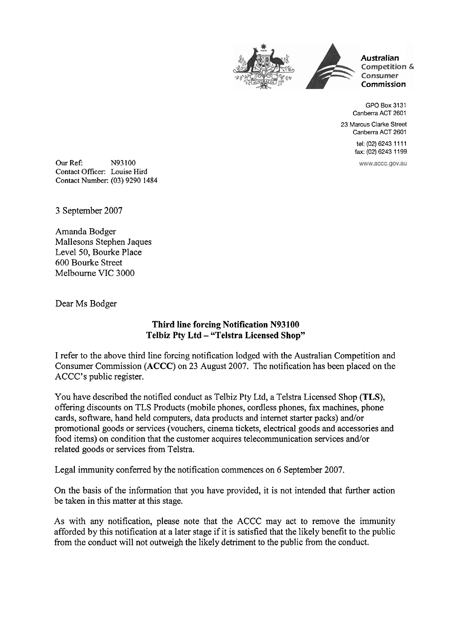



**Australian**  Competition & Consumer **Commission** 

GPO Box 3131 Canberra ACT 2601

23 Marcus Clarke Street Canberra ACT 2601

> tel: (02) 6243 11 11 fax: (02) 6243 1 199

www.accc.gov.au

Our Ref: N93 100 Contact Officer: Louise Hird Contact Number: (03) 9290 1484

**3** September 2007

Amanda Bodger Mallesons Stephen Jaques Level 50, Bourke Place 600 Bourke Street Melbourne VIC 3000

Dear Ms Bodger

## **Third line forcing Notification N93100 Telbiz Pty Ltd** - **"Telstra Licensed Shop"**

I refer to the above third line forcing notification lodged with the Australian Competition and Consumer Commission (ACCC) on 23 August 2007. The notification has been placed on the ACCC's public register.

You have described the notified conduct as Telbiz Pty Ltd, a Telstra Licensed Shop **(TLS),**  offering discounts on TLS Products (mobile phones, cordless phones, fax machines, phone cards, software, hand held computers, data products and internet starter packs) and/or promotional goods or services (vouchers, cinema tickets, electrical goods and accessories and food items) on condition that the customer acquires telecommunication services and/or related goods or services from Telstra.

Legal immunity conferred by the notification commences on 6 September 2007.

On the basis of the information that you have provided, it is not intended that further action be taken in this matter at this stage.

As with any notification, please note that the ACCC may act to remove the immunity afforded by this notification at a later stage if it is satisfied that the likely benefit to the public from the conduct will not outweigh the likely detriment to the public from the conduct.